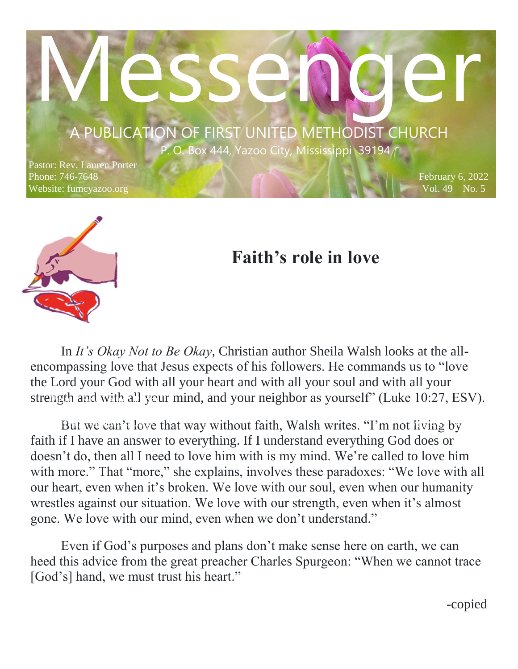# $P. O. Box 444, Yazoo City, Mississippi 39194$ A PUBLICATION OF FIRST UNITED METHODIST CHURCH

asse.

 $P = P \cup A \cup A$ 

Pastor: Rev. Lauren Porter Phone: 746-7648 Website: fumcyazoo.org



## **Faith's role in love**

In *It's Okay Not to Be Okay*, Christian author Sheila Walsh looks at the allencompassing love that Jesus expects of his followers. He commands us to "love the Lord your God with all your heart and with all your soul and with all your strength and with all your mind, and your neighbor as yourself" (Luke 10:27, ESV).

But we can't love that way without faith, Walsh writes. "I'm not living by faith if I have an answer to everything. If I understand everything God does or doesn't do, then all I need to love him with is my mind. We're called to love him with more." That "more," she explains, involves these paradoxes: "We love with all our heart, even when it's broken. We love with our soul, even when our humanity wrestles against our situation. We love with our strength, even when it's almost gone. We love with our mind, even when we don't understand."

Even if God's purposes and plans don't make sense here on earth, we can heed this advice from the great preacher Charles Spurgeon: "When we cannot trace [God's] hand, we must trust his heart."

-copied

February 6, 2022 Vol. 49 No. 5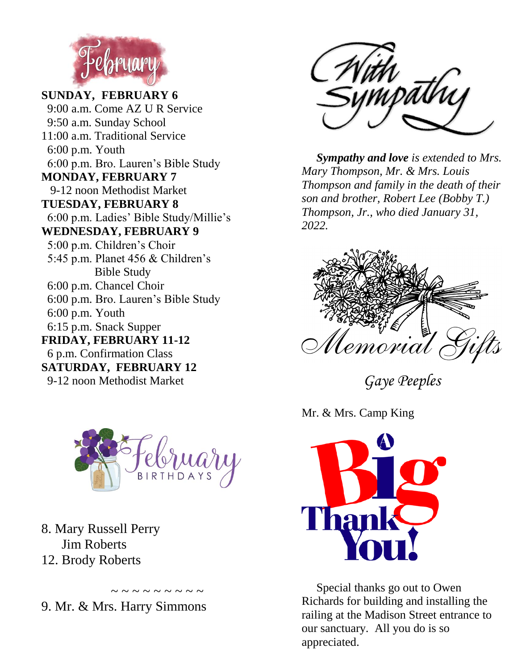

**SUNDAY, FEBRUARY 6** 9:00 a.m. Come AZ U R Service 9:50 a.m. Sunday School 11:00 a.m. Traditional Service 6:00 p.m. Youth 6:00 p.m. Bro. Lauren's Bible Study **MONDAY, FEBRUARY 7** 9-12 noon Methodist Market **TUESDAY, FEBRUARY 8** 6:00 p.m. Ladies' Bible Study/Millie's **WEDNESDAY, FEBRUARY 9** 5:00 p.m. Children's Choir 5:45 p.m. Planet 456 & Children's Bible Study 6:00 p.m. Chancel Choir 6:00 p.m. Bro. Lauren's Bible Study 6:00 p.m. Youth 6:15 p.m. Snack Supper **FRIDAY, FEBRUARY 11-12** 6 p.m. Confirmation Class **SATURDAY, FEBRUARY 12**

9-12 noon Methodist Market



 $\sim$  ~ ~ ~ ~ ~ ~ ~

8. Mary Russell Perry Jim Roberts 12. Brody Roberts

9. Mr. & Mrs. Harry Simmons



 *Sympathy and love is extended to Mrs. Mary Thompson, Mr. & Mrs. Louis Thompson and family in the death of their son and brother, Robert Lee (Bobby T.) Thompson, Jr., who died January 31, 2022.*



*Gaye Peeples*

Mr. & Mrs. Camp King



 Special thanks go out to Owen Richards for building and installing the railing at the Madison Street entrance to our sanctuary. All you do is so appreciated.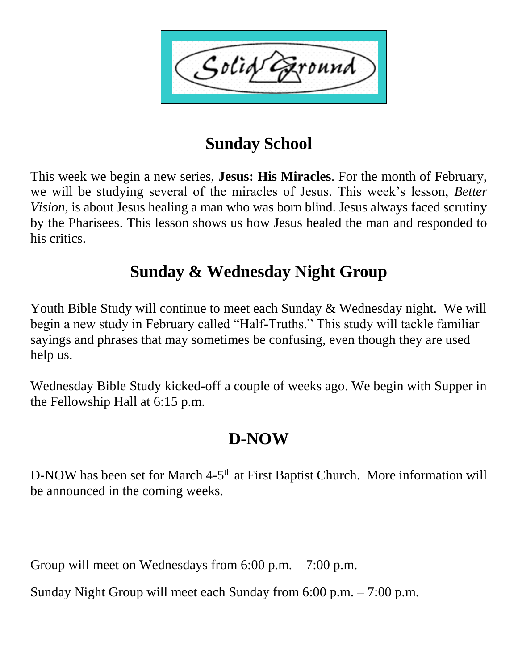Solid ound

## **Sunday School**

This week we begin a new series, **Jesus: His Miracles**. For the month of February, we will be studying several of the miracles of Jesus. This week's lesson, *Better Vision,* is about Jesus healing a man who was born blind. Jesus always faced scrutiny by the Pharisees. This lesson shows us how Jesus healed the man and responded to his critics.

## **Sunday & Wednesday Night Group**

Youth Bible Study will continue to meet each Sunday & Wednesday night. We will begin a new study in February called "Half-Truths." This study will tackle familiar sayings and phrases that may sometimes be confusing, even though they are used help us.

Wednesday Bible Study kicked-off a couple of weeks ago. We begin with Supper in the Fellowship Hall at 6:15 p.m.

## **D-NOW**

D-NOW has been set for March 4-5<sup>th</sup> at First Baptist Church. More information will be announced in the coming weeks.

Group will meet on Wednesdays from 6:00 p.m. – 7:00 p.m.

Sunday Night Group will meet each Sunday from 6:00 p.m. – 7:00 p.m.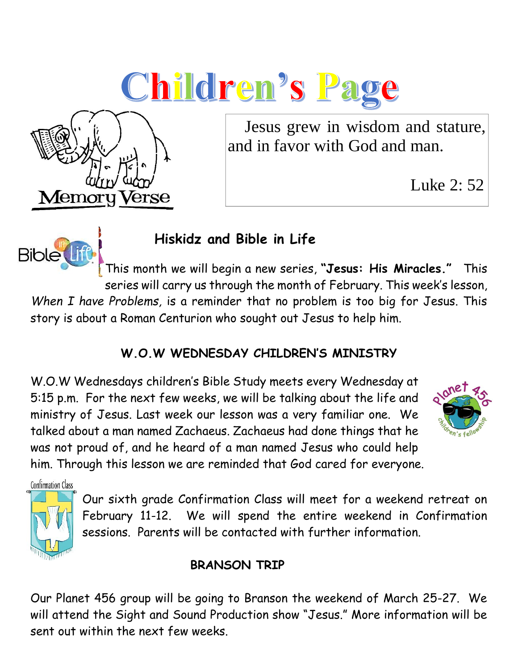



 Jesus grew in wisdom and stature, and in favor with God and man.

Luke 2: 52



### **Hiskidz and Bible in Life**

This month we will begin a new series, **"Jesus: His Miracles."** This series will carry us through the month of February. This week's lesson, *When I have Problems,* is a reminder that no problem is too big for Jesus. This story is about a Roman Centurion who sought out Jesus to help him.

#### **W.O.W WEDNESDAY CHILDREN'S MINISTRY**

W.O.W Wednesdays children's Bible Study meets every Wednesday at 5:15 p.m. For the next few weeks, we will be talking about the life and ministry of Jesus. Last week our lesson was a very familiar one. We talked about a man named Zachaeus. Zachaeus had done things that he was not proud of, and he heard of a man named Jesus who could help him. Through this lesson we are reminded that God cared for everyone.



**Confirmation Class** 



Our sixth grade Confirmation Class will meet for a weekend retreat on February 11-12. We will spend the entire weekend in Confirmation sessions. Parents will be contacted with further information.

#### **BRANSON TRIP**

Our Planet 456 group will be going to Branson the weekend of March 25-27. We will attend the Sight and Sound Production show "Jesus." More information will be sent out within the next few weeks.